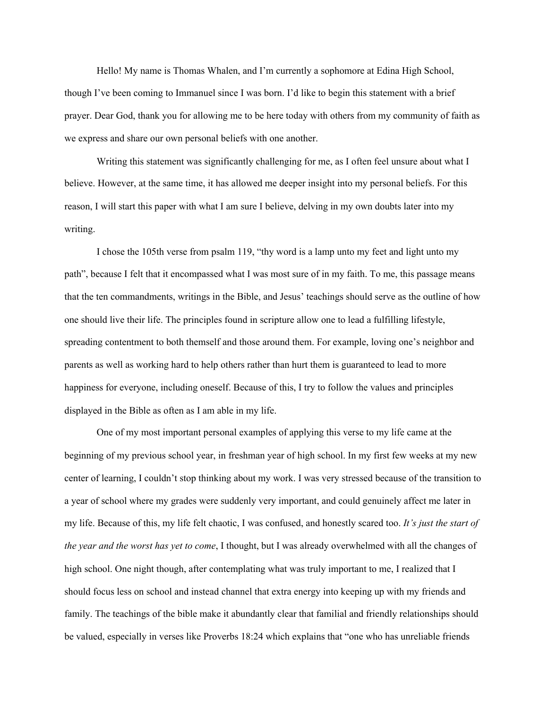Hello! My name is Thomas Whalen, and I'm currently a sophomore at Edina High School, though I've been coming to Immanuel since I was born. I'd like to begin this statement with a brief prayer. Dear God, thank you for allowing me to be here today with others from my community of faith as we express and share our own personal beliefs with one another.

Writing this statement was significantly challenging for me, as I often feel unsure about what I believe. However, at the same time, it has allowed me deeper insight into my personal beliefs. For this reason, I will start this paper with what I am sure I believe, delving in my own doubts later into my writing.

I chose the 105th verse from psalm 119, "thy word is a lamp unto my feet and light unto my path", because I felt that it encompassed what I was most sure of in my faith. To me, this passage means that the ten commandments, writings in the Bible, and Jesus' teachings should serve as the outline of how one should live their life. The principles found in scripture allow one to lead a fulfilling lifestyle, spreading contentment to both themself and those around them. For example, loving one's neighbor and parents as well as working hard to help others rather than hurt them is guaranteed to lead to more happiness for everyone, including oneself. Because of this, I try to follow the values and principles displayed in the Bible as often as I am able in my life.

One of my most important personal examples of applying this verse to my life came at the beginning of my previous school year, in freshman year of high school. In my first few weeks at my new center of learning, I couldn't stop thinking about my work. I was very stressed because of the transition to a year of school where my grades were suddenly very important, and could genuinely affect me later in my life. Because of this, my life felt chaotic, I was confused, and honestly scared too. *It's just the start of the year and the worst has yet to come*, I thought, but I was already overwhelmed with all the changes of high school. One night though, after contemplating what was truly important to me, I realized that I should focus less on school and instead channel that extra energy into keeping up with my friends and family. The teachings of the bible make it abundantly clear that familial and friendly relationships should be valued, especially in verses like Proverbs 18:24 which explains that "one who has unreliable friends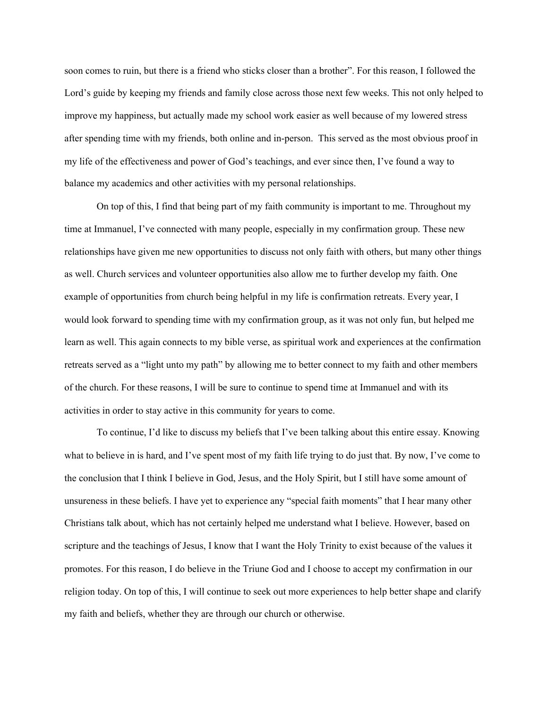soon comes to ruin, but there is a friend who sticks closer than a brother". For this reason, I followed the Lord's guide by keeping my friends and family close across those next few weeks. This not only helped to improve my happiness, but actually made my school work easier as well because of my lowered stress after spending time with my friends, both online and in-person. This served as the most obvious proof in my life of the effectiveness and power of God's teachings, and ever since then, I've found a way to balance my academics and other activities with my personal relationships.

On top of this, I find that being part of my faith community is important to me. Throughout my time at Immanuel, I've connected with many people, especially in my confirmation group. These new relationships have given me new opportunities to discuss not only faith with others, but many other things as well. Church services and volunteer opportunities also allow me to further develop my faith. One example of opportunities from church being helpful in my life is confirmation retreats. Every year, I would look forward to spending time with my confirmation group, as it was not only fun, but helped me learn as well. This again connects to my bible verse, as spiritual work and experiences at the confirmation retreats served as a "light unto my path" by allowing me to better connect to my faith and other members of the church. For these reasons, I will be sure to continue to spend time at Immanuel and with its activities in order to stay active in this community for years to come.

To continue, I'd like to discuss my beliefs that I've been talking about this entire essay. Knowing what to believe in is hard, and I've spent most of my faith life trying to do just that. By now, I've come to the conclusion that I think I believe in God, Jesus, and the Holy Spirit, but I still have some amount of unsureness in these beliefs. I have yet to experience any "special faith moments" that I hear many other Christians talk about, which has not certainly helped me understand what I believe. However, based on scripture and the teachings of Jesus, I know that I want the Holy Trinity to exist because of the values it promotes. For this reason, I do believe in the Triune God and I choose to accept my confirmation in our religion today. On top of this, I will continue to seek out more experiences to help better shape and clarify my faith and beliefs, whether they are through our church or otherwise.